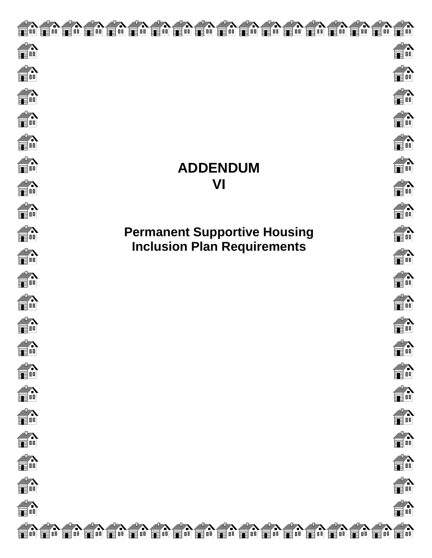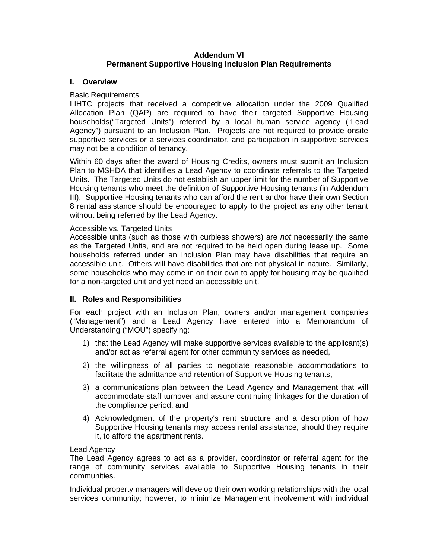# **Addendum VI Permanent Supportive Housing Inclusion Plan Requirements**

## **I. Overview**

# Basic Requirements

LIHTC projects that received a competitive allocation under the 2009 Qualified Allocation Plan (QAP) are required to have their targeted Supportive Housing households("Targeted Units") referred by a local human service agency ("Lead Agency") pursuant to an Inclusion Plan. Projects are not required to provide onsite supportive services or a services coordinator, and participation in supportive services may not be a condition of tenancy.

Within 60 days after the award of Housing Credits, owners must submit an Inclusion Plan to MSHDA that identifies a Lead Agency to coordinate referrals to the Targeted Units. The Targeted Units do not establish an upper limit for the number of Supportive Housing tenants who meet the definition of Supportive Housing tenants (in Addendum III). Supportive Housing tenants who can afford the rent and/or have their own Section 8 rental assistance should be encouraged to apply to the project as any other tenant without being referred by the Lead Agency.

### Accessible vs. Targeted Units

Accessible units (such as those with curbless showers) are *not* necessarily the same as the Targeted Units, and are not required to be held open during lease up. Some households referred under an Inclusion Plan may have disabilities that require an accessible unit. Others will have disabilities that are not physical in nature. Similarly, some households who may come in on their own to apply for housing may be qualified for a non-targeted unit and yet need an accessible unit.

# **II. Roles and Responsibilities**

For each project with an Inclusion Plan, owners and/or management companies ("Management") and a Lead Agency have entered into a Memorandum of Understanding ("MOU") specifying:

- 1) that the Lead Agency will make supportive services available to the applicant(s) and/or act as referral agent for other community services as needed,
- 2) the willingness of all parties to negotiate reasonable accommodations to facilitate the admittance and retention of Supportive Housing tenants,
- 3) a communications plan between the Lead Agency and Management that will accommodate staff turnover and assure continuing linkages for the duration of the compliance period, and
- 4) Acknowledgment of the property's rent structure and a description of how Supportive Housing tenants may access rental assistance, should they require it, to afford the apartment rents.

# Lead Agency

The Lead Agency agrees to act as a provider, coordinator or referral agent for the range of community services available to Supportive Housing tenants in their communities.

Individual property managers will develop their own working relationships with the local services community; however, to minimize Management involvement with individual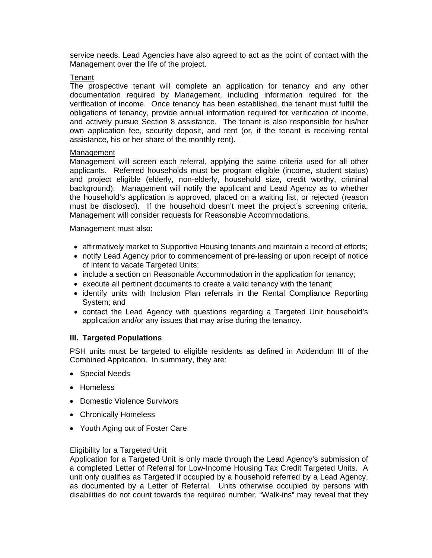service needs, Lead Agencies have also agreed to act as the point of contact with the Management over the life of the project.

#### **Tenant**

The prospective tenant will complete an application for tenancy and any other documentation required by Management, including information required for the verification of income. Once tenancy has been established, the tenant must fulfill the obligations of tenancy, provide annual information required for verification of income, and actively pursue Section 8 assistance. The tenant is also responsible for his/her own application fee, security deposit, and rent (or, if the tenant is receiving rental assistance, his or her share of the monthly rent).

### **Management**

Management will screen each referral, applying the same criteria used for all other applicants. Referred households must be program eligible (income, student status) and project eligible (elderly, non-elderly, household size, credit worthy, criminal background). Management will notify the applicant and Lead Agency as to whether the household's application is approved, placed on a waiting list, or rejected (reason must be disclosed). If the household doesn't meet the project's screening criteria, Management will consider requests for Reasonable Accommodations.

Management must also:

- affirmatively market to Supportive Housing tenants and maintain a record of efforts;
- notify Lead Agency prior to commencement of pre-leasing or upon receipt of notice of intent to vacate Targeted Units;
- include a section on Reasonable Accommodation in the application for tenancy;
- execute all pertinent documents to create a valid tenancy with the tenant;
- identify units with Inclusion Plan referrals in the Rental Compliance Reporting System; and
- contact the Lead Agency with questions regarding a Targeted Unit household's application and/or any issues that may arise during the tenancy.

### **III. Targeted Populations**

PSH units must be targeted to eligible residents as defined in Addendum III of the Combined Application. In summary, they are:

- Special Needs
- Homeless
- Domestic Violence Survivors
- Chronically Homeless
- Youth Aging out of Foster Care

### Eligibility for a Targeted Unit

Application for a Targeted Unit is only made through the Lead Agency's submission of a completed Letter of Referral for Low-Income Housing Tax Credit Targeted Units. A unit only qualifies as Targeted if occupied by a household referred by a Lead Agency, as documented by a Letter of Referral. Units otherwise occupied by persons with disabilities do not count towards the required number. "Walk-ins" may reveal that they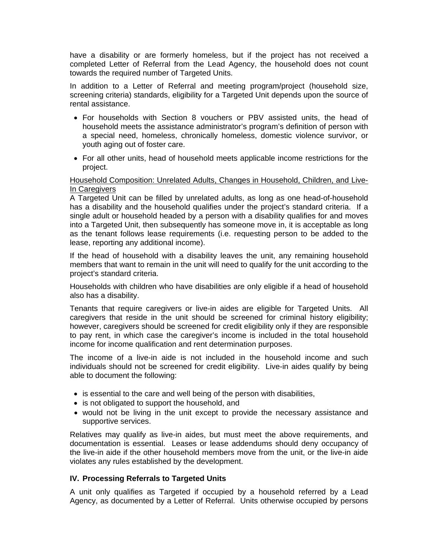have a disability or are formerly homeless, but if the project has not received a completed Letter of Referral from the Lead Agency, the household does not count towards the required number of Targeted Units.

In addition to a Letter of Referral and meeting program/project (household size, screening criteria) standards, eligibility for a Targeted Unit depends upon the source of rental assistance.

- For households with Section 8 vouchers or PBV assisted units, the head of household meets the assistance administrator's program's definition of person with a special need, homeless, chronically homeless, domestic violence survivor, or youth aging out of foster care.
- For all other units, head of household meets applicable income restrictions for the project.

### Household Composition: Unrelated Adults, Changes in Household, Children, and Live-In Caregivers

A Targeted Unit can be filled by unrelated adults, as long as one head-of-household has a disability and the household qualifies under the project's standard criteria. If a single adult or household headed by a person with a disability qualifies for and moves into a Targeted Unit, then subsequently has someone move in, it is acceptable as long as the tenant follows lease requirements (i.e. requesting person to be added to the lease, reporting any additional income).

If the head of household with a disability leaves the unit, any remaining household members that want to remain in the unit will need to qualify for the unit according to the project's standard criteria.

Households with children who have disabilities are only eligible if a head of household also has a disability.

Tenants that require caregivers or live-in aides are eligible for Targeted Units. All caregivers that reside in the unit should be screened for criminal history eligibility; however, caregivers should be screened for credit eligibility only if they are responsible to pay rent, in which case the caregiver's income is included in the total household income for income qualification and rent determination purposes.

The income of a live-in aide is not included in the household income and such individuals should not be screened for credit eligibility. Live-in aides qualify by being able to document the following:

- is essential to the care and well being of the person with disabilities,
- is not obligated to support the household, and
- would not be living in the unit except to provide the necessary assistance and supportive services.

Relatives may qualify as live-in aides, but must meet the above requirements, and documentation is essential. Leases or lease addendums should deny occupancy of the live-in aide if the other household members move from the unit, or the live-in aide violates any rules established by the development.

# **IV. Processing Referrals to Targeted Units**

A unit only qualifies as Targeted if occupied by a household referred by a Lead Agency, as documented by a Letter of Referral. Units otherwise occupied by persons